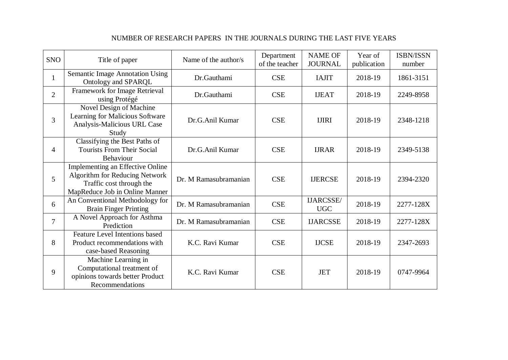| <b>SNO</b>     | Title of paper                                                                                                                          | Name of the author/s  | Department<br>of the teacher | <b>NAME OF</b><br><b>JOURNAL</b> | Year of<br>publication | <b>ISBN/ISSN</b><br>number |
|----------------|-----------------------------------------------------------------------------------------------------------------------------------------|-----------------------|------------------------------|----------------------------------|------------------------|----------------------------|
| $\mathbf{1}$   | <b>Semantic Image Annotation Using</b><br>Ontology and SPARQL                                                                           | Dr.Gauthami           | <b>CSE</b>                   | <b>IAJIT</b>                     | 2018-19                | 1861-3151                  |
| $\overline{2}$ | Framework for Image Retrieval<br>using Protégé                                                                                          | Dr.Gauthami           | <b>CSE</b>                   | <b>IJEAT</b>                     | 2018-19                | 2249-8958                  |
| 3              | Novel Design of Machine<br>Learning for Malicious Software<br>Analysis-Malicious URL Case<br>Study                                      | Dr.G.Anil Kumar       | <b>CSE</b>                   | <b>IJIRI</b>                     | 2018-19                | 2348-1218                  |
| $\overline{4}$ | Classifying the Best Paths of<br><b>Tourists From Their Social</b><br>Behaviour                                                         | Dr.G.Anil Kumar       | <b>CSE</b>                   | <b>IJRAR</b>                     | 2018-19                | 2349-5138                  |
| 5              | Implementing an Effective Online<br><b>Algorithm for Reducing Network</b><br>Traffic cost through the<br>MapReduce Job in Online Manner | Dr. M Ramasubramanian | <b>CSE</b>                   | <b>IJERCSE</b>                   | 2018-19                | 2394-2320                  |
| 6              | An Conventional Methodology for<br><b>Brain Finger Printing</b>                                                                         | Dr. M Ramasubramanian | <b>CSE</b>                   | IJARCSSE/<br><b>UGC</b>          | 2018-19                | 2277-128X                  |
| $\overline{7}$ | A Novel Approach for Asthma<br>Prediction                                                                                               | Dr. M Ramasubramanian | <b>CSE</b>                   | <b>IJARCSSE</b>                  | 2018-19                | 2277-128X                  |
| 8              | <b>Feature Level Intentions based</b><br>Product recommendations with<br>case-based Reasoning                                           | K.C. Ravi Kumar       | <b>CSE</b>                   | <b>IJCSE</b>                     | 2018-19                | 2347-2693                  |
| 9              | Machine Learning in<br>Computational treatment of<br>opinions towards better Product<br>Recommendations                                 | K.C. Ravi Kumar       | <b>CSE</b>                   | <b>JET</b>                       | 2018-19                | 0747-9964                  |

## NUMBER OF RESEARCH PAPERS IN THE JOURNALS DURING THE LAST FIVE YEARS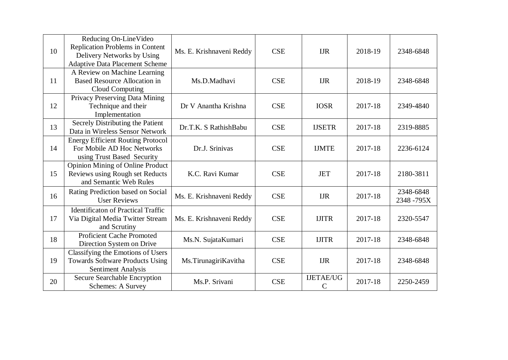| 10 | Reducing On-LineVideo<br>Replication Problems in Content<br>Delivery Networks by Using<br><b>Adaptive Data Placement Scheme</b> | Ms. E. Krishnaveni Reddy | <b>CSE</b> | <b>IJR</b>                        | 2018-19 | 2348-6848              |
|----|---------------------------------------------------------------------------------------------------------------------------------|--------------------------|------------|-----------------------------------|---------|------------------------|
| 11 | A Review on Machine Learning<br><b>Based Resource Allocation in</b><br>Cloud Computing                                          | Ms.D.Madhavi             | <b>CSE</b> | <b>IJR</b>                        | 2018-19 | 2348-6848              |
| 12 | Privacy Preserving Data Mining<br>Technique and their<br>Implementation                                                         | Dr V Anantha Krishna     | <b>CSE</b> | <b>IOSR</b>                       | 2017-18 | 2349-4840              |
| 13 | Secrely Distributing the Patient<br>Data in Wireless Sensor Network                                                             | Dr.T.K. S RathishBabu    | <b>CSE</b> | <b>IJSETR</b>                     | 2017-18 | 2319-8885              |
| 14 | <b>Energy Efficient Routing Protocol</b><br>For Mobile AD Hoc Networks<br>using Trust Based Security                            | Dr.J. Srinivas           | <b>CSE</b> | <b>IJMTE</b>                      | 2017-18 | 2236-6124              |
| 15 | <b>Opinion Mining of Online Product</b><br>Reviews using Rough set Reducts<br>and Semantic Web Rules                            | K.C. Ravi Kumar          | <b>CSE</b> | <b>JET</b>                        | 2017-18 | 2180-3811              |
| 16 | Rating Prediction based on Social<br><b>User Reviews</b>                                                                        | Ms. E. Krishnaveni Reddy | <b>CSE</b> | <b>IJR</b>                        | 2017-18 | 2348-6848<br>2348-795X |
| 17 | <b>Identificaton of Practical Traffic</b><br>Via Digital Media Twitter Stream<br>and Scrutiny                                   | Ms. E. Krishnaveni Reddy | <b>CSE</b> | <b>IJITR</b>                      | 2017-18 | 2320-5547              |
| 18 | <b>Proficient Cache Promoted</b><br>Direction System on Drive                                                                   | Ms.N. SujataKumari       | <b>CSE</b> | <b>IJITR</b>                      | 2017-18 | 2348-6848              |
| 19 | Classifying the Emotions of Users<br><b>Towards Software Products Using</b><br>Sentiment Analysis                               | Ms.TirunagiriKavitha     | <b>CSE</b> | <b>IJR</b>                        | 2017-18 | 2348-6848              |
| 20 | Secure Searchable Encryption<br><b>Schemes: A Survey</b>                                                                        | Ms.P. Srivani            | <b>CSE</b> | <b>IJETAE/UG</b><br>$\mathcal{C}$ | 2017-18 | 2250-2459              |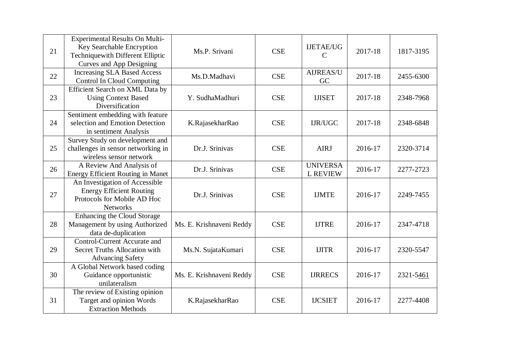| 21 | <b>Experimental Results On Multi-</b><br>Key Searchable Encryption<br><b>Techniquewith Different Elliptic</b><br>Curves and App Designing | Ms.P. Srivani            | <b>CSE</b> | <b>IJETAE/UG</b><br>$\mathcal{C}$  | 2017-18 | 1817-3195 |
|----|-------------------------------------------------------------------------------------------------------------------------------------------|--------------------------|------------|------------------------------------|---------|-----------|
| 22 | <b>Increasing SLA Based Access</b><br><b>Control In Cloud Computing</b>                                                                   | Ms.D.Madhavi             | <b>CSE</b> | AIJREAS/U<br>GC                    | 2017-18 | 2455-6300 |
| 23 | Efficient Search on XML Data by<br><b>Using Context Based</b><br>Diversification                                                          | Y. SudhaMadhuri          | <b>CSE</b> | <b>IJISET</b>                      | 2017-18 | 2348-7968 |
| 24 | Sentiment embedding with feature<br>selection and Emotion Detection<br>in sentiment Analysis                                              | K.RajasekharRao          | <b>CSE</b> | <b>IJR/UGC</b>                     | 2017-18 | 2348-6848 |
| 25 | Survey Study on development and<br>challenges in sensor networking in<br>wireless sensor network                                          | Dr.J. Srinivas           | <b>CSE</b> | <b>AIRJ</b>                        | 2016-17 | 2320-3714 |
| 26 | A Review And Analysis of<br><b>Energy Efficient Routing in Manet</b>                                                                      | Dr.J. Srinivas           | <b>CSE</b> | <b>UNIVERSA</b><br><b>L REVIEW</b> | 2016-17 | 2277-2723 |
| 27 | An Investigation of Accessible<br><b>Energy Efficient Routing</b><br>Protocols for Mobile AD Hoc<br><b>Networks</b>                       | Dr.J. Srinivas           | <b>CSE</b> | <b>IJMTE</b>                       | 2016-17 | 2249-7455 |
| 28 | Enhancing the Cloud Storage<br>Management by using Authorized<br>data de-duplication                                                      | Ms. E. Krishnaveni Reddy | <b>CSE</b> | <b>IJTRE</b>                       | 2016-17 | 2347-4718 |
| 29 | <b>Control-Current Accurate and</b><br><b>Secret Truths Allocation with</b><br><b>Advancing Safety</b>                                    | Ms.N. SujataKumari       | <b>CSE</b> | <b>IJITR</b>                       | 2016-17 | 2320-5547 |
| 30 | A Global Network based coding<br>Guidance opportunistic<br>unilateralism                                                                  | Ms. E. Krishnaveni Reddy | <b>CSE</b> | <b>IJRRECS</b>                     | 2016-17 | 2321-5461 |
| 31 | The review of Existing opinion<br>Target and opinion Words<br><b>Extraction Methods</b>                                                   | K.RajasekharRao          | <b>CSE</b> | <b>IJCSIET</b>                     | 2016-17 | 2277-4408 |